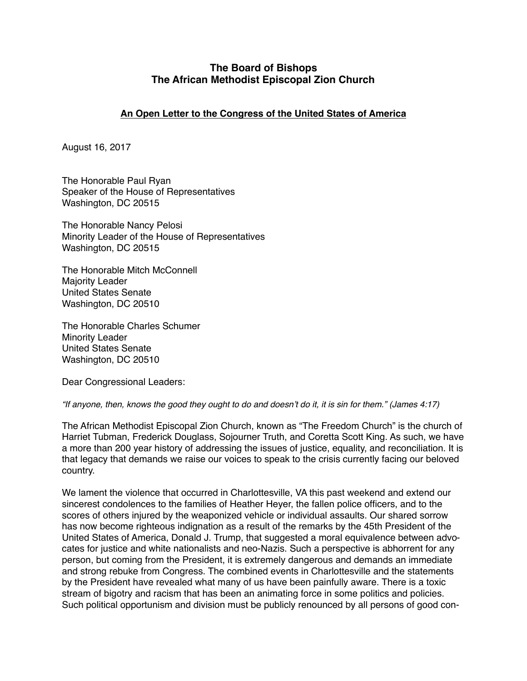## **The Board of Bishops The African Methodist Episcopal Zion Church**

## **An Open Letter to the Congress of the United States of America**

August 16, 2017

The Honorable Paul Ryan Speaker of the House of Representatives Washington, DC 20515

The Honorable Nancy Pelosi Minority Leader of the House of Representatives Washington, DC 20515

The Honorable Mitch McConnell Majority Leader United States Senate Washington, DC 20510

The Honorable Charles Schumer Minority Leader United States Senate Washington, DC 20510

Dear Congressional Leaders:

*"If anyone, then, knows the good they ought to do and doesn't do it, it is sin for them." (James 4:17)*

The African Methodist Episcopal Zion Church, known as "The Freedom Church" is the church of Harriet Tubman, Frederick Douglass, Sojourner Truth, and Coretta Scott King. As such, we have a more than 200 year history of addressing the issues of justice, equality, and reconciliation. It is that legacy that demands we raise our voices to speak to the crisis currently facing our beloved country.

We lament the violence that occurred in Charlottesville, VA this past weekend and extend our sincerest condolences to the families of Heather Heyer, the fallen police officers, and to the scores of others injured by the weaponized vehicle or individual assaults. Our shared sorrow has now become righteous indignation as a result of the remarks by the 45th President of the United States of America, Donald J. Trump, that suggested a moral equivalence between advocates for justice and white nationalists and neo-Nazis. Such a perspective is abhorrent for any person, but coming from the President, it is extremely dangerous and demands an immediate and strong rebuke from Congress. The combined events in Charlottesville and the statements by the President have revealed what many of us have been painfully aware. There is a toxic stream of bigotry and racism that has been an animating force in some politics and policies. Such political opportunism and division must be publicly renounced by all persons of good con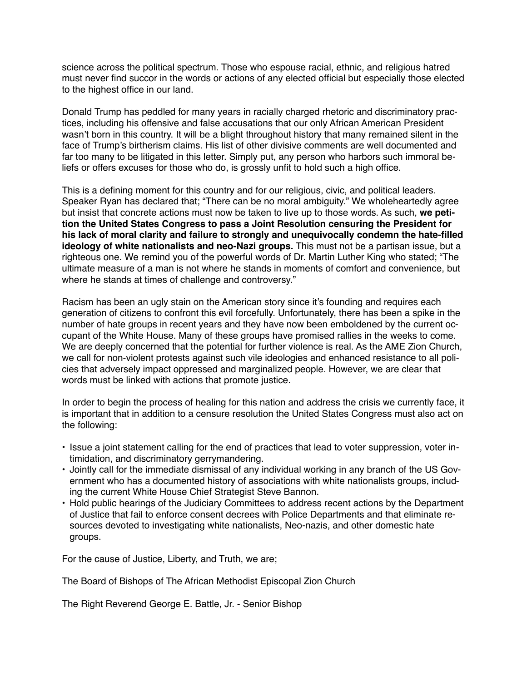science across the political spectrum. Those who espouse racial, ethnic, and religious hatred must never find succor in the words or actions of any elected official but especially those elected to the highest office in our land.

Donald Trump has peddled for many years in racially charged rhetoric and discriminatory practices, including his offensive and false accusations that our only African American President wasn't born in this country. It will be a blight throughout history that many remained silent in the face of Trump's birtherism claims. His list of other divisive comments are well documented and far too many to be litigated in this letter. Simply put, any person who harbors such immoral beliefs or offers excuses for those who do, is grossly unfit to hold such a high office.

This is a defining moment for this country and for our religious, civic, and political leaders. Speaker Ryan has declared that; "There can be no moral ambiguity." We wholeheartedly agree but insist that concrete actions must now be taken to live up to those words. As such, **we petition the United States Congress to pass a Joint Resolution censuring the President for his lack of moral clarity and failure to strongly and unequivocally condemn the hate-filled ideology of white nationalists and neo-Nazi groups.** This must not be a partisan issue, but a righteous one. We remind you of the powerful words of Dr. Martin Luther King who stated; "The ultimate measure of a man is not where he stands in moments of comfort and convenience, but where he stands at times of challenge and controversy."

Racism has been an ugly stain on the American story since it's founding and requires each generation of citizens to confront this evil forcefully. Unfortunately, there has been a spike in the number of hate groups in recent years and they have now been emboldened by the current occupant of the White House. Many of these groups have promised rallies in the weeks to come. We are deeply concerned that the potential for further violence is real. As the AME Zion Church, we call for non-violent protests against such vile ideologies and enhanced resistance to all policies that adversely impact oppressed and marginalized people. However, we are clear that words must be linked with actions that promote justice.

In order to begin the process of healing for this nation and address the crisis we currently face, it is important that in addition to a censure resolution the United States Congress must also act on the following:

- **•** Issue a joint statement calling for the end of practices that lead to voter suppression, voter intimidation, and discriminatory gerrymandering.
- **•** Jointly call for the immediate dismissal of any individual working in any branch of the US Government who has a documented history of associations with white nationalists groups, including the current White House Chief Strategist Steve Bannon.
- **•** Hold public hearings of the Judiciary Committees to address recent actions by the Department of Justice that fail to enforce consent decrees with Police Departments and that eliminate resources devoted to investigating white nationalists, Neo-nazis, and other domestic hate groups.

For the cause of Justice, Liberty, and Truth, we are;

The Board of Bishops of The African Methodist Episcopal Zion Church

The Right Reverend George E. Battle, Jr. - Senior Bishop